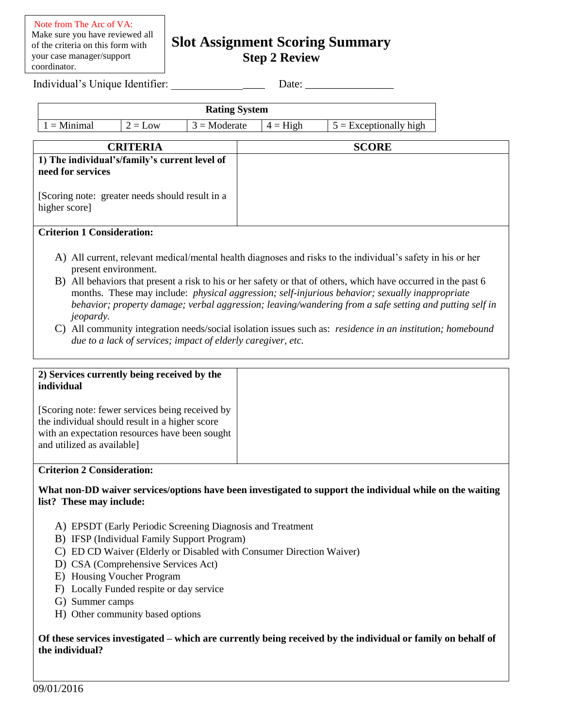# **Slot Assignment Scoring Summary Step 2 Review**

Individual's Unique Identifier:

| Date: |
|-------|
|-------|

| <b>Rating System</b> |           |                       |            |                          |  |  |
|----------------------|-----------|-----------------------|------------|--------------------------|--|--|
| $\mu =$ Minimal      | $2 = Low$ | $3 = \text{Moderate}$ | $4 =$ High | $5 =$ Exceptionally high |  |  |

| <b>CRITERIA</b>                                                    | <b>SCORE</b> |
|--------------------------------------------------------------------|--------------|
| 1) The individual's/family's current level of<br>need for services |              |
| [Scoring note: greater needs should result in a<br>higher score]   |              |

### **Criterion 1 Consideration:**

- A) All current, relevant medical/mental health diagnoses and risks to the individual's safety in his or her present environment.
- B) All behaviors that present a risk to his or her safety or that of others, which have occurred in the past 6 months. These may include: *physical aggression; self-injurious behavior; sexually inappropriate behavior; property damage; verbal aggression; leaving/wandering from a safe setting and putting self in jeopardy.*
- C) All community integration needs/social isolation issues such as: *residence in an institution; homebound due to a lack of services; impact of elderly caregiver, etc.*

| 2) Services currently being received by the<br>individual                                                                                                                         |
|-----------------------------------------------------------------------------------------------------------------------------------------------------------------------------------|
| [Scoring note: fewer services being received by<br>the individual should result in a higher score<br>with an expectation resources have been sought<br>and utilized as available] |
| C <sub>nt</sub>                                                                                                                                                                   |

#### **Criterion 2 Consideration:**

#### **What non-DD waiver services/options have been investigated to support the individual while on the waiting list? These may include:**

- A) EPSDT (Early Periodic Screening Diagnosis and Treatment
- B) IFSP (Individual Family Support Program)
- C) ED CD Waiver (Elderly or Disabled with Consumer Direction Waiver)
- D) CSA (Comprehensive Services Act)
- E) Housing Voucher Program
- F) Locally Funded respite or day service
- G) Summer camps
- H) Other community based options

#### **Of these services investigated – which are currently being received by the individual or family on behalf of the individual?**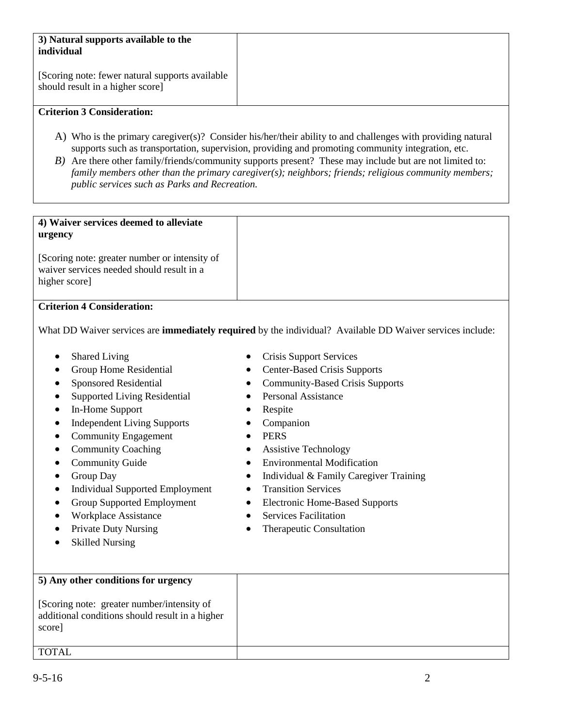| 3) Natural supports available to the<br>individual                                  |
|-------------------------------------------------------------------------------------|
| [Scoring note: fewer natural supports available<br>should result in a higher score] |

## **Criterion 3 Consideration:**

- A) Who is the primary caregiver(s)? Consider his/her/their ability to and challenges with providing natural supports such as transportation, supervision, providing and promoting community integration, etc.
- *B*) Are there other family/friends/community supports present? These may include but are not limited to: *family members other than the primary caregiver(s); neighbors; friends; religious community members; public services such as Parks and Recreation.*

| 4) Waiver services deemed to alleviate<br>urgency                                                           |
|-------------------------------------------------------------------------------------------------------------|
| [Scoring note: greater number or intensity of<br>waiver services needed should result in a<br>higher score] |

## **Criterion 4 Consideration:**

What DD Waiver services are **immediately required** by the individual? Available DD Waiver services include:

- Shared Living
- Group Home Residential
- Sponsored Residential
- Supported Living Residential
- In-Home Support
- Independent Living Supports
- Community Engagement
- Community Coaching
- Community Guide
- Group Day
- Individual Supported Employment
- Group Supported Employment
- Workplace Assistance
- Private Duty Nursing
- Skilled Nursing
- Crisis Support Services
- Center-Based Crisis Supports
- Community-Based Crisis Supports
- Personal Assistance
- Respite
- Companion
- PERS
- Assistive Technology
- Environmental Modification
- Individual & Family Caregiver Training
- Transition Services
- Electronic Home-Based Supports
- Services Facilitation
- Therapeutic Consultation

| 5) Any other conditions for urgency                                                                     |  |
|---------------------------------------------------------------------------------------------------------|--|
| [Scoring note: greater number/intensity of<br>additional conditions should result in a higher<br>score] |  |
| <b>TOTAL</b>                                                                                            |  |